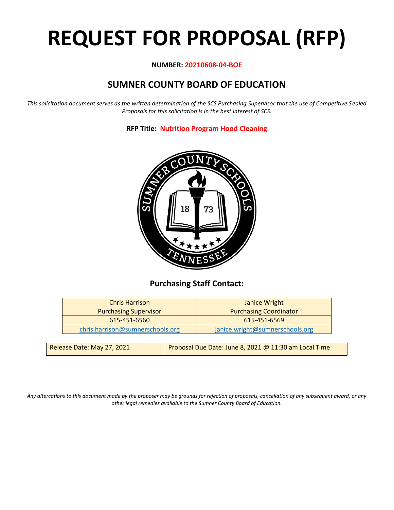# **REQUEST FOR PROPOSAL (RFP)**

## **NUMBER: 20210608-04-BOE**

# **SUMNER COUNTY BOARD OF EDUCATION**

*This solicitation document serves as the written determination of the SCS Purchasing Supervisor that the use of Competitive Sealed Proposals for this solicitation is in the best interest of SCS.*

**RFP Title: Nutrition Program Hood Cleaning**



# **Purchasing Staff Contact:**

| <b>Chris Harrison</b>            | Janice Wright                   |
|----------------------------------|---------------------------------|
| <b>Purchasing Supervisor</b>     | <b>Purchasing Coordinator</b>   |
| 615-451-6560                     | 615-451-6569                    |
| chris.harrison@sumnerschools.org | janice.wright@sumnerschools.org |
|                                  |                                 |

| Release Date: May 27, 2021 | Proposal Due Date: June 8, 2021 @ 11:30 am Local Time |
|----------------------------|-------------------------------------------------------|
|                            |                                                       |

*Any altercations to this document made by the proposer may be grounds for rejection of proposals, cancellation of any subsequent award, or any other legal remedies available to the Sumner County Board of Education.*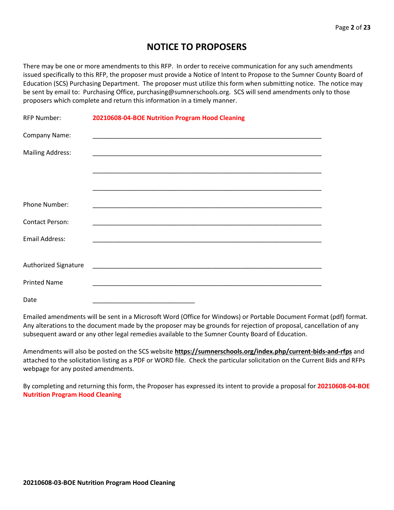# **NOTICE TO PROPOSERS**

There may be one or more amendments to this RFP. In order to receive communication for any such amendments issued specifically to this RFP, the proposer must provide a Notice of Intent to Propose to the Sumner County Board of Education (SCS) Purchasing Department. The proposer must utilize this form when submitting notice. The notice may be sent by email to: Purchasing Office, purchasing@sumnerschools.org. SCS will send amendments only to those proposers which complete and return this information in a timely manner.

| <b>RFP Number:</b>          | 20210608-04-BOE Nutrition Program Hood Cleaning |
|-----------------------------|-------------------------------------------------|
| Company Name:               |                                                 |
| <b>Mailing Address:</b>     |                                                 |
|                             |                                                 |
|                             |                                                 |
| <b>Phone Number:</b>        |                                                 |
| <b>Contact Person:</b>      |                                                 |
| <b>Email Address:</b>       |                                                 |
|                             |                                                 |
| <b>Authorized Signature</b> |                                                 |
| <b>Printed Name</b>         |                                                 |
| Date                        |                                                 |

Emailed amendments will be sent in a Microsoft Word (Office for Windows) or Portable Document Format (pdf) format. Any alterations to the document made by the proposer may be grounds for rejection of proposal, cancellation of any subsequent award or any other legal remedies available to the Sumner County Board of Education.

Amendments will also be posted on the SCS website **https://sumnerschools.org/index.php/current-bids-and-rfps** and attached to the solicitation listing as a PDF or WORD file. Check the particular solicitation on the Current Bids and RFPs webpage for any posted amendments.

By completing and returning this form, the Proposer has expressed its intent to provide a proposal for **20210608-04-BOE Nutrition Program Hood Cleaning**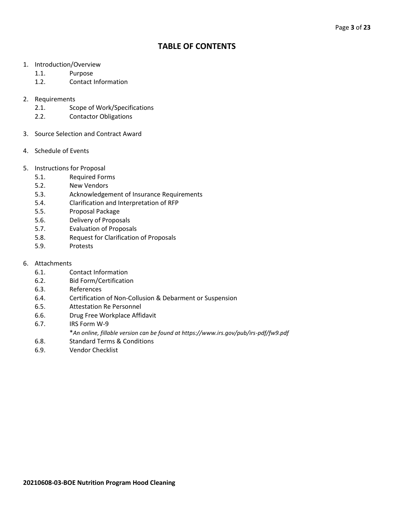# **TABLE OF CONTENTS**

- 1. Introduction/Overview
	- 1.1. Purpose
	- 1.2. Contact Information
- 2. Requirements
	- 2.1. Scope of Work/Specifications
	- 2.2. Contactor Obligations
- 3. Source Selection and Contract Award
- 4. Schedule of Events
- 5. Instructions for Proposal
	- 5.1. Required Forms
	- 5.2. New Vendors
	- 5.3. Acknowledgement of Insurance Requirements
	- 5.4. Clarification and Interpretation of RFP
	- 5.5. Proposal Package
	- 5.6. Delivery of Proposals
	- 5.7. Evaluation of Proposals
	- 5.8. Request for Clarification of Proposals
	- 5.9. Protests
- 6. Attachments
	- 6.1. Contact Information
	- 6.2. Bid Form/Certification
	- 6.3. References
	- 6.4. Certification of Non-Collusion & Debarment or Suspension
	- 6.5. Attestation Re Personnel
	- 6.6. Drug Free Workplace Affidavit
	- 6.7. IRS Form W-9
		- \**An online, fillable version can be found at https://www.irs.gov/pub/irs-pdf/fw9.pdf*
	- 6.8. Standard Terms & Conditions
	- 6.9. Vendor Checklist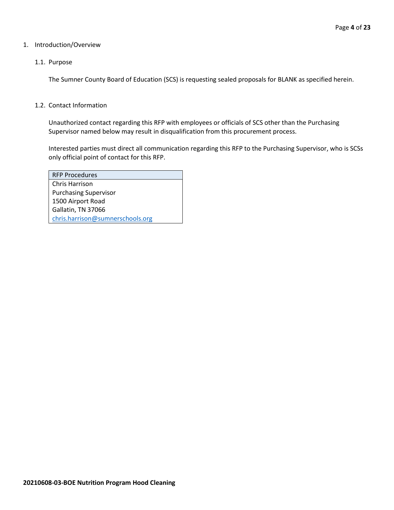#### 1. Introduction/Overview

#### 1.1. Purpose

The Sumner County Board of Education (SCS) is requesting sealed proposals for BLANK as specified herein.

#### 1.2. Contact Information

Unauthorized contact regarding this RFP with employees or officials of SCS other than the Purchasing Supervisor named below may result in disqualification from this procurement process.

Interested parties must direct all communication regarding this RFP to the Purchasing Supervisor, who is SCSs only official point of contact for this RFP.

| <b>RFP Procedures</b>            |
|----------------------------------|
| Chris Harrison                   |
| <b>Purchasing Supervisor</b>     |
| 1500 Airport Road                |
| Gallatin, TN 37066               |
| chris.harrison@sumnerschools.org |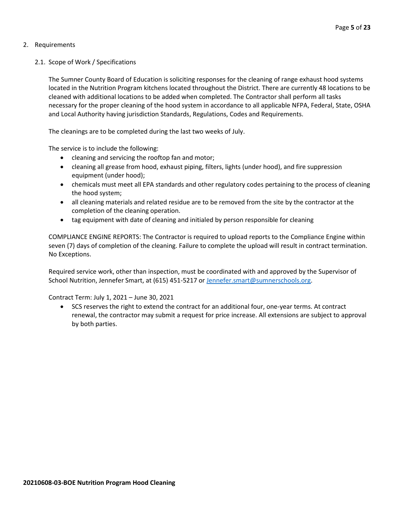## 2. Requirements

## 2.1. Scope of Work / Specifications

The Sumner County Board of Education is soliciting responses for the cleaning of range exhaust hood systems located in the Nutrition Program kitchens located throughout the District. There are currently 48 locations to be cleaned with additional locations to be added when completed. The Contractor shall perform all tasks necessary for the proper cleaning of the hood system in accordance to all applicable NFPA, Federal, State, OSHA and Local Authority having jurisdiction Standards, Regulations, Codes and Requirements.

The cleanings are to be completed during the last two weeks of July.

The service is to include the following:

- cleaning and servicing the rooftop fan and motor;
- cleaning all grease from hood, exhaust piping, filters, lights (under hood), and fire suppression equipment (under hood);
- chemicals must meet all EPA standards and other regulatory codes pertaining to the process of cleaning the hood system;
- all cleaning materials and related residue are to be removed from the site by the contractor at the completion of the cleaning operation.
- tag equipment with date of cleaning and initialed by person responsible for cleaning

COMPLIANCE ENGINE REPORTS: The Contractor is required to upload reports to the Compliance Engine within seven (7) days of completion of the cleaning. Failure to complete the upload will result in contract termination. No Exceptions.

Required service work, other than inspection, must be coordinated with and approved by the Supervisor of School Nutrition, Jennefer Smart, at (615) 451-5217 or [Jennefer.smart@sumnerschools.org.](mailto:Jennefer.smart@sumnerschools.org)

Contract Term: July 1, 2021 – June 30, 2021

• SCS reserves the right to extend the contract for an additional four, one-year terms. At contract renewal, the contractor may submit a request for price increase. All extensions are subject to approval by both parties.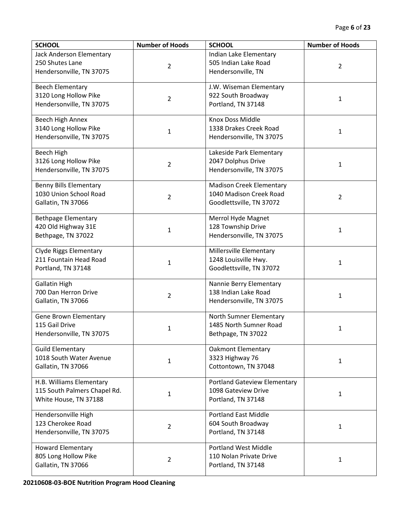| <b>SCHOOL</b>                                                                     | <b>Number of Hoods</b> | <b>SCHOOL</b>                                                                          | <b>Number of Hoods</b> |
|-----------------------------------------------------------------------------------|------------------------|----------------------------------------------------------------------------------------|------------------------|
| Jack Anderson Elementary<br>250 Shutes Lane<br>Hendersonville, TN 37075           | 2                      | Indian Lake Elementary<br>505 Indian Lake Road<br>Hendersonville, TN                   | 2                      |
| <b>Beech Elementary</b><br>3120 Long Hollow Pike<br>Hendersonville, TN 37075      | $\overline{2}$         | J.W. Wiseman Elementary<br>922 South Broadway<br>Portland, TN 37148                    | $\mathbf{1}$           |
| Beech High Annex<br>3140 Long Hollow Pike<br>Hendersonville, TN 37075             | 1                      | Knox Doss Middle<br>1338 Drakes Creek Road<br>Hendersonville, TN 37075                 | 1                      |
| Beech High<br>3126 Long Hollow Pike<br>Hendersonville, TN 37075                   | $\overline{2}$         | Lakeside Park Elementary<br>2047 Dolphus Drive<br>Hendersonville, TN 37075             | $\mathbf{1}$           |
| <b>Benny Bills Elementary</b><br>1030 Union School Road<br>Gallatin, TN 37066     | $\overline{2}$         | <b>Madison Creek Elementary</b><br>1040 Madison Creek Road<br>Goodlettsville, TN 37072 | $\overline{2}$         |
| <b>Bethpage Elementary</b><br>420 Old Highway 31E<br>Bethpage, TN 37022           | $\mathbf{1}$           | Merrol Hyde Magnet<br>128 Township Drive<br>Hendersonville, TN 37075                   | 1                      |
| <b>Clyde Riggs Elementary</b><br>211 Fountain Head Road<br>Portland, TN 37148     | $\mathbf{1}$           | Millersville Elementary<br>1248 Louisville Hwy.<br>Goodlettsville, TN 37072            | $\mathbf{1}$           |
| <b>Gallatin High</b><br>700 Dan Herron Drive<br>Gallatin, TN 37066                | $\overline{2}$         | Nannie Berry Elementary<br>138 Indian Lake Road<br>Hendersonville, TN 37075            | $\mathbf{1}$           |
| Gene Brown Elementary<br>115 Gail Drive<br>Hendersonville, TN 37075               | 1                      | North Sumner Elementary<br>1485 North Sumner Road<br>Bethpage, TN 37022                | 1                      |
| <b>Guild Elementary</b><br>1018 South Water Avenue<br>Gallatin, TN 37066          | $\mathbf{1}$           | <b>Oakmont Elementary</b><br>3323 Highway 76<br>Cottontown, TN 37048                   | $\mathbf{1}$           |
| H.B. Williams Elementary<br>115 South Palmers Chapel Rd.<br>White House, TN 37188 | 1                      | <b>Portland Gateview Elementary</b><br>1098 Gateview Drive<br>Portland, TN 37148       | 1                      |
| Hendersonville High<br>123 Cherokee Road<br>Hendersonville, TN 37075              | $\overline{2}$         | <b>Portland East Middle</b><br>604 South Broadway<br>Portland, TN 37148                | $\mathbf{1}$           |
| <b>Howard Elementary</b><br>805 Long Hollow Pike<br>Gallatin, TN 37066            | $\overline{2}$         | <b>Portland West Middle</b><br>110 Nolan Private Drive<br>Portland, TN 37148           | $\mathbf{1}$           |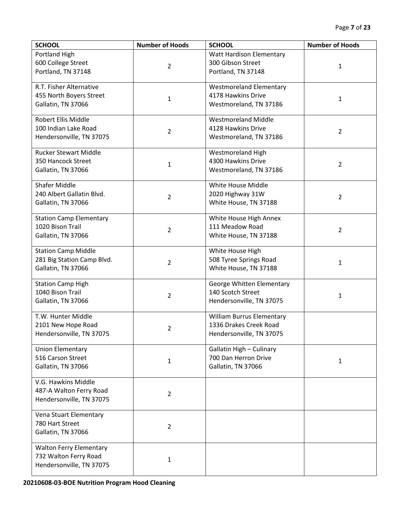| <b>SCHOOL</b>                  | <b>Number of Hoods</b> | <b>SCHOOL</b>                    | <b>Number of Hoods</b> |
|--------------------------------|------------------------|----------------------------------|------------------------|
| Portland High                  |                        | Watt Hardison Elementary         |                        |
| 600 College Street             | $\overline{2}$         | 300 Gibson Street                | 1                      |
| Portland, TN 37148             |                        | Portland, TN 37148               |                        |
|                                |                        |                                  |                        |
| R.T. Fisher Alternative        |                        | <b>Westmoreland Elementary</b>   |                        |
| 455 North Boyers Street        | $\mathbf{1}$           | 4178 Hawkins Drive               | $\mathbf{1}$           |
| Gallatin, TN 37066             |                        | Westmoreland, TN 37186           |                        |
| Robert Ellis Middle            |                        | <b>Westmoreland Middle</b>       |                        |
| 100 Indian Lake Road           |                        | 4128 Hawkins Drive               |                        |
| Hendersonville, TN 37075       | $\overline{2}$         | Westmoreland, TN 37186           | $\overline{2}$         |
|                                |                        |                                  |                        |
| <b>Rucker Stewart Middle</b>   |                        | <b>Westmoreland High</b>         |                        |
| 350 Hancock Street             | $\mathbf{1}$           | 4300 Hawkins Drive               | $\overline{2}$         |
| Gallatin, TN 37066             |                        | Westmoreland, TN 37186           |                        |
|                                |                        |                                  |                        |
| <b>Shafer Middle</b>           |                        | White House Middle               |                        |
| 240 Albert Gallatin Blvd.      | 2                      | 2020 Highway 31W                 | $\overline{2}$         |
| Gallatin, TN 37066             |                        | White House, TN 37188            |                        |
| <b>Station Camp Elementary</b> |                        | White House High Annex           |                        |
| 1020 Bison Trail               |                        | 111 Meadow Road                  |                        |
| Gallatin, TN 37066             | $\overline{2}$         | White House, TN 37188            | $\overline{2}$         |
|                                |                        |                                  |                        |
| <b>Station Camp Middle</b>     |                        | White House High                 |                        |
| 281 Big Station Camp Blvd.     |                        | 508 Tyree Springs Road           |                        |
| Gallatin, TN 37066             | $\overline{2}$         | White House, TN 37188            | $\mathbf{1}$           |
|                                |                        |                                  |                        |
| <b>Station Camp High</b>       |                        | George Whitten Elementary        |                        |
| 1040 Bison Trail               | $\overline{2}$         | 140 Scotch Street                | 1                      |
| Gallatin, TN 37066             |                        | Hendersonville, TN 37075         |                        |
| T.W. Hunter Middle             |                        | <b>William Burrus Elementary</b> |                        |
| 2101 New Hope Road             |                        | 1336 Drakes Creek Road           |                        |
| Hendersonville, TN 37075       | $\overline{2}$         | Hendersonville, TN 37075         |                        |
|                                |                        |                                  |                        |
| <b>Union Elementary</b>        |                        | Gallatin High - Culinary         |                        |
| 516 Carson Street              | $\mathbf{1}$           | 700 Dan Herron Drive             | 1                      |
| Gallatin, TN 37066             |                        | Gallatin, TN 37066               |                        |
|                                |                        |                                  |                        |
| V.G. Hawkins Middle            |                        |                                  |                        |
| 487-A Walton Ferry Road        | 2                      |                                  |                        |
| Hendersonville, TN 37075       |                        |                                  |                        |
| Vena Stuart Elementary         |                        |                                  |                        |
| 780 Hart Street                |                        |                                  |                        |
| Gallatin, TN 37066             | $\overline{2}$         |                                  |                        |
|                                |                        |                                  |                        |
| <b>Walton Ferry Elementary</b> |                        |                                  |                        |
| 732 Walton Ferry Road          | 1                      |                                  |                        |
| Hendersonville, TN 37075       |                        |                                  |                        |
|                                |                        |                                  |                        |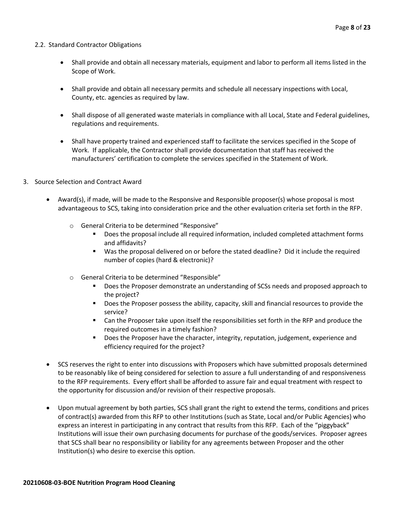#### 2.2. Standard Contractor Obligations

- Shall provide and obtain all necessary materials, equipment and labor to perform all items listed in the Scope of Work.
- Shall provide and obtain all necessary permits and schedule all necessary inspections with Local, County, etc. agencies as required by law.
- Shall dispose of all generated waste materials in compliance with all Local, State and Federal guidelines, regulations and requirements.
- Shall have property trained and experienced staff to facilitate the services specified in the Scope of Work. If applicable, the Contractor shall provide documentation that staff has received the manufacturers' certification to complete the services specified in the Statement of Work.
- 3. Source Selection and Contract Award
	- Award(s), if made, will be made to the Responsive and Responsible proposer(s) whose proposal is most advantageous to SCS, taking into consideration price and the other evaluation criteria set forth in the RFP.
		- o General Criteria to be determined "Responsive"
			- Does the proposal include all required information, included completed attachment forms and affidavits?
			- Was the proposal delivered on or before the stated deadline? Did it include the required number of copies (hard & electronic)?
		- o General Criteria to be determined "Responsible"
			- Does the Proposer demonstrate an understanding of SCSs needs and proposed approach to the project?
			- Does the Proposer possess the ability, capacity, skill and financial resources to provide the service?
			- Can the Proposer take upon itself the responsibilities set forth in the RFP and produce the required outcomes in a timely fashion?
			- Does the Proposer have the character, integrity, reputation, judgement, experience and efficiency required for the project?
	- SCS reserves the right to enter into discussions with Proposers which have submitted proposals determined to be reasonably like of being considered for selection to assure a full understanding of and responsiveness to the RFP requirements. Every effort shall be afforded to assure fair and equal treatment with respect to the opportunity for discussion and/or revision of their respective proposals.
	- Upon mutual agreement by both parties, SCS shall grant the right to extend the terms, conditions and prices of contract(s) awarded from this RFP to other Institutions (such as State, Local and/or Public Agencies) who express an interest in participating in any contract that results from this RFP. Each of the "piggyback" Institutions will issue their own purchasing documents for purchase of the goods/services. Proposer agrees that SCS shall bear no responsibility or liability for any agreements between Proposer and the other Institution(s) who desire to exercise this option.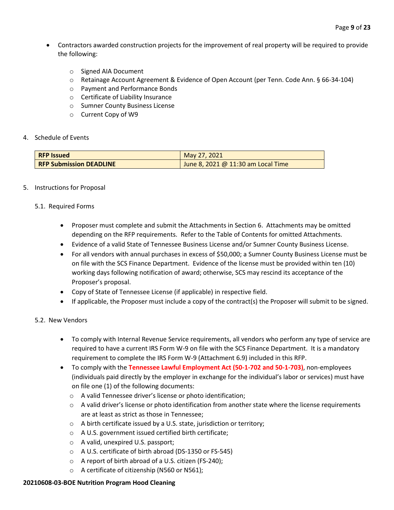- Contractors awarded construction projects for the improvement of real property will be required to provide the following:
	- o Signed AIA Document
	- o Retainage Account Agreement & Evidence of Open Account (per Tenn. Code Ann. § 66-34-104)
	- o Payment and Performance Bonds
	- o Certificate of Liability Insurance
	- o Sumner County Business License
	- o Current Copy of W9

#### 4. Schedule of Events

| <b>RFP Issued</b>              | May 27, 2021                                     |
|--------------------------------|--------------------------------------------------|
| <b>RFP Submission DEADLINE</b> | $\frac{1}{2}$ June 8, 2021 @ 11:30 am Local Time |

## 5. Instructions for Proposal

#### 5.1. Required Forms

- Proposer must complete and submit the Attachments in Section 6. Attachments may be omitted depending on the RFP requirements. Refer to the Table of Contents for omitted Attachments.
- Evidence of a valid State of Tennessee Business License and/or Sumner County Business License.
- For all vendors with annual purchases in excess of \$50,000; a Sumner County Business License must be on file with the SCS Finance Department. Evidence of the license must be provided within ten (10) working days following notification of award; otherwise, SCS may rescind its acceptance of the Proposer's proposal.
- Copy of State of Tennessee License (if applicable) in respective field.
- If applicable, the Proposer must include a copy of the contract(s) the Proposer will submit to be signed.

#### 5.2. New Vendors

- To comply with Internal Revenue Service requirements, all vendors who perform any type of service are required to have a current IRS Form W-9 on file with the SCS Finance Department. It is a mandatory requirement to complete the IRS Form W-9 (Attachment 6.9) included in this RFP.
- To comply with the **Tennessee Lawful Employment Act (50-1-702 and 50-1-703)**, non-employees (individuals paid directly by the employer in exchange for the individual's labor or services) must have on file one (1) of the following documents:
	- o A valid Tennessee driver's license or photo identification;
	- $\circ$  A valid driver's license or photo identification from another state where the license requirements are at least as strict as those in Tennessee;
	- o A birth certificate issued by a U.S. state, jurisdiction or territory;
	- o A U.S. government issued certified birth certificate;
	- o A valid, unexpired U.S. passport;
	- o A U.S. certificate of birth abroad (DS-1350 or FS-545)
	- o A report of birth abroad of a U.S. citizen (FS-240);
	- o A certificate of citizenship (N560 or N561);

#### **20210608-03-BOE Nutrition Program Hood Cleaning**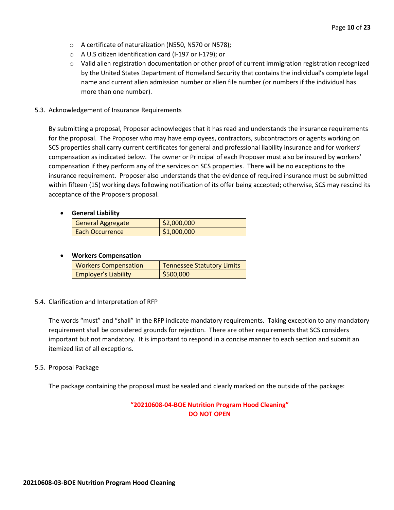- o A certificate of naturalization (N550, N570 or N578);
- o A U.S citizen identification card (I-197 or I-179); or
- o Valid alien registration documentation or other proof of current immigration registration recognized by the United States Department of Homeland Security that contains the individual's complete legal name and current alien admission number or alien file number (or numbers if the individual has more than one number).
- 5.3. Acknowledgement of Insurance Requirements

By submitting a proposal, Proposer acknowledges that it has read and understands the insurance requirements for the proposal. The Proposer who may have employees, contractors, subcontractors or agents working on SCS properties shall carry current certificates for general and professional liability insurance and for workers' compensation as indicated below. The owner or Principal of each Proposer must also be insured by workers' compensation if they perform any of the services on SCS properties. There will be no exceptions to the insurance requirement. Proposer also understands that the evidence of required insurance must be submitted within fifteen (15) working days following notification of its offer being accepted; otherwise, SCS may rescind its acceptance of the Proposers proposal.

#### • **General Liability**

| <b>General Aggregate</b> | \$2,000,000 |
|--------------------------|-------------|
| <b>Each Occurrence</b>   | \$1,000,000 |

#### • **Workers Compensation**

| <b>Workers Compensation</b> | <b>Tennessee Statutory Limits</b> |
|-----------------------------|-----------------------------------|
| <b>Employer's Liability</b> | \$500,000                         |

#### 5.4. Clarification and Interpretation of RFP

The words "must" and "shall" in the RFP indicate mandatory requirements. Taking exception to any mandatory requirement shall be considered grounds for rejection. There are other requirements that SCS considers important but not mandatory. It is important to respond in a concise manner to each section and submit an itemized list of all exceptions.

#### 5.5. Proposal Package

The package containing the proposal must be sealed and clearly marked on the outside of the package:

# **"20210608-04-BOE Nutrition Program Hood Cleaning" DO NOT OPEN**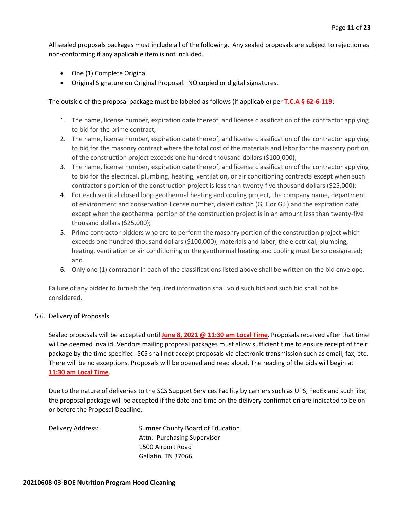All sealed proposals packages must include all of the following. Any sealed proposals are subject to rejection as non-conforming if any applicable item is not included.

- One (1) Complete Original
- Original Signature on Original Proposal. NO copied or digital signatures.

The outside of the proposal package must be labeled as follows (if applicable) per **T.C.A § 62-6-119**:

- 1. The name, license number, expiration date thereof, and license classification of the contractor applying to bid for the prime contract;
- 2. The name, license number, expiration date thereof, and license classification of the contractor applying to bid for the masonry contract where the total cost of the materials and labor for the masonry portion of the construction project exceeds one hundred thousand dollars (\$100,000);
- 3. The name, license number, expiration date thereof, and license classification of the contractor applying to bid for the electrical, plumbing, heating, ventilation, or air conditioning contracts except when such contractor's portion of the construction project is less than twenty-five thousand dollars (\$25,000);
- 4. For each vertical closed loop geothermal heating and cooling project, the company name, department of environment and conservation license number, classification (G, L or G,L) and the expiration date, except when the geothermal portion of the construction project is in an amount less than twenty-five thousand dollars (\$25,000);
- 5. Prime contractor bidders who are to perform the masonry portion of the construction project which exceeds one hundred thousand dollars (\$100,000), materials and labor, the electrical, plumbing, heating, ventilation or air conditioning or the geothermal heating and cooling must be so designated; and
- 6. Only one (1) contractor in each of the classifications listed above shall be written on the bid envelope.

Failure of any bidder to furnish the required information shall void such bid and such bid shall not be considered.

#### 5.6. Delivery of Proposals

Sealed proposals will be accepted until **June 8, 2021 @ 11:30 am Local Time**. Proposals received after that time will be deemed invalid. Vendors mailing proposal packages must allow sufficient time to ensure receipt of their package by the time specified. SCS shall not accept proposals via electronic transmission such as email, fax, etc. There will be no exceptions. Proposals will be opened and read aloud. The reading of the bids will begin at **11:30 am Local Time**.

Due to the nature of deliveries to the SCS Support Services Facility by carriers such as UPS, FedEx and such like; the proposal package will be accepted if the date and time on the delivery confirmation are indicated to be on or before the Proposal Deadline.

| Delivery Address: | Sumner County Board of Education |
|-------------------|----------------------------------|
|                   | Attn: Purchasing Supervisor      |
|                   | 1500 Airport Road                |
|                   | Gallatin, TN 37066               |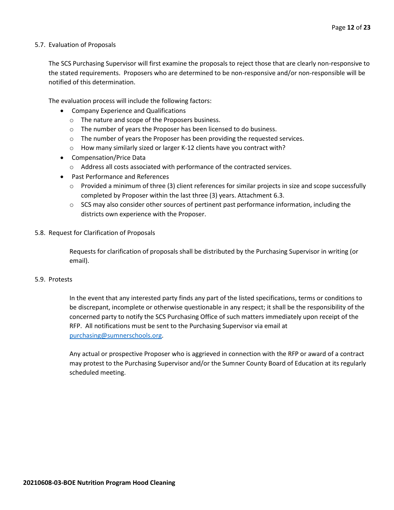#### 5.7. Evaluation of Proposals

The SCS Purchasing Supervisor will first examine the proposals to reject those that are clearly non-responsive to the stated requirements. Proposers who are determined to be non-responsive and/or non-responsible will be notified of this determination.

The evaluation process will include the following factors:

- Company Experience and Qualifications
	- o The nature and scope of the Proposers business.
	- $\circ$  The number of years the Proposer has been licensed to do business.
	- $\circ$  The number of years the Proposer has been providing the requested services.
	- o How many similarly sized or larger K-12 clients have you contract with?
- Compensation/Price Data
	- o Address all costs associated with performance of the contracted services.
- Past Performance and References
	- $\circ$  Provided a minimum of three (3) client references for similar projects in size and scope successfully completed by Proposer within the last three (3) years. Attachment 6.3.
	- $\circ$  SCS may also consider other sources of pertinent past performance information, including the districts own experience with the Proposer.
- 5.8. Request for Clarification of Proposals

Requests for clarification of proposals shall be distributed by the Purchasing Supervisor in writing (or email).

#### 5.9. Protests

In the event that any interested party finds any part of the listed specifications, terms or conditions to be discrepant, incomplete or otherwise questionable in any respect; it shall be the responsibility of the concerned party to notify the SCS Purchasing Office of such matters immediately upon receipt of the RFP. All notifications must be sent to the Purchasing Supervisor via email at [purchasing@sumnerschools.org.](mailto:purchasing@sumnerschools.org)

Any actual or prospective Proposer who is aggrieved in connection with the RFP or award of a contract may protest to the Purchasing Supervisor and/or the Sumner County Board of Education at its regularly scheduled meeting.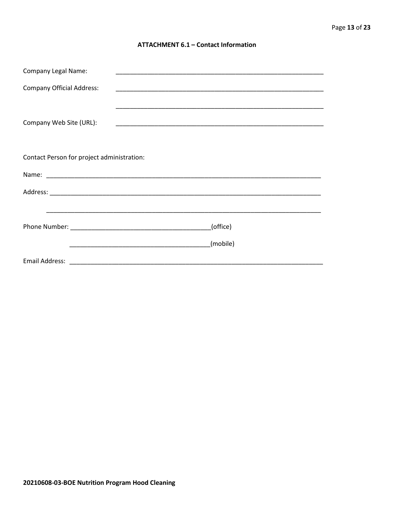#### **ATTACHMENT 6.1 - Contact Information**

| <b>Company Legal Name:</b>                 |          |
|--------------------------------------------|----------|
| <b>Company Official Address:</b>           |          |
|                                            |          |
| Company Web Site (URL):                    |          |
|                                            |          |
|                                            |          |
| Contact Person for project administration: |          |
|                                            |          |
|                                            |          |
|                                            |          |
|                                            | (office) |
|                                            | (mobile) |
|                                            |          |
|                                            |          |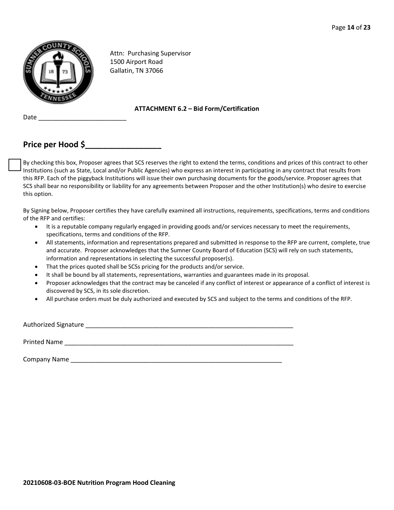

Attn: Purchasing Supervisor 1500 Airport Road Gallatin, TN 37066

#### **ATTACHMENT 6.2 – Bid Form/Certification**

# **Price per Hood \$\_\_\_\_\_\_\_\_\_\_\_\_\_\_\_\_\_**

Date  $\_$ 

By checking this box, Proposer agrees that SCS reserves the right to extend the terms, conditions and prices of this contract to other Institutions (such as State, Local and/or Public Agencies) who express an interest in participating in any contract that results from this RFP. Each of the piggyback Institutions will issue their own purchasing documents for the goods/service. Proposer agrees that SCS shall bear no responsibility or liability for any agreements between Proposer and the other Institution(s) who desire to exercise this option.

By Signing below, Proposer certifies they have carefully examined all instructions, requirements, specifications, terms and conditions of the RFP and certifies:

- It is a reputable company regularly engaged in providing goods and/or services necessary to meet the requirements, specifications, terms and conditions of the RFP.
- All statements, information and representations prepared and submitted in response to the RFP are current, complete, true and accurate. Proposer acknowledges that the Sumner County Board of Education (SCS) will rely on such statements, information and representations in selecting the successful proposer(s).
- That the prices quoted shall be SCSs pricing for the products and/or service.
- It shall be bound by all statements, representations, warranties and guarantees made in its proposal.
- Proposer acknowledges that the contract may be canceled if any conflict of interest or appearance of a conflict of interest is discovered by SCS, in its sole discretion.
- All purchase orders must be duly authorized and executed by SCS and subject to the terms and conditions of the RFP.

Authorized Signature \_\_\_\_\_\_\_\_\_\_\_\_\_\_\_\_\_\_\_\_\_\_\_\_\_\_\_\_\_\_\_\_\_\_\_\_\_\_\_\_\_\_\_\_\_\_\_\_\_\_\_\_\_\_\_\_\_\_\_ Printed Name \_\_\_\_\_\_\_\_\_\_\_\_\_\_\_\_\_\_\_\_\_\_\_\_\_\_\_\_\_\_\_\_\_\_\_\_\_\_\_\_\_\_\_\_\_\_\_\_\_\_\_\_\_\_\_\_\_\_\_\_\_\_\_\_\_

Company Name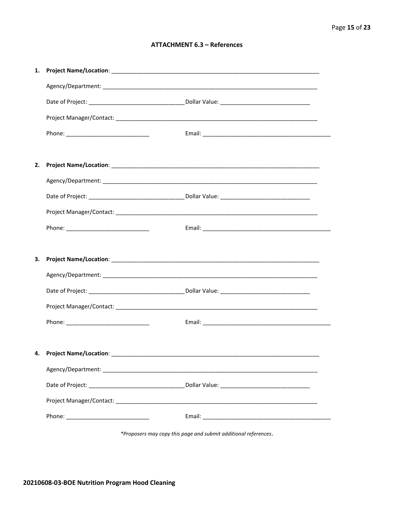#### **ATTACHMENT 6.3 - References**

| 1. |                                    |  |
|----|------------------------------------|--|
|    |                                    |  |
|    |                                    |  |
|    |                                    |  |
|    |                                    |  |
|    |                                    |  |
| 2. |                                    |  |
|    |                                    |  |
|    |                                    |  |
|    |                                    |  |
|    |                                    |  |
|    |                                    |  |
|    |                                    |  |
| 3. |                                    |  |
|    |                                    |  |
|    |                                    |  |
|    |                                    |  |
|    |                                    |  |
|    |                                    |  |
|    | 4. Project Name/Location: ________ |  |
|    |                                    |  |
|    |                                    |  |
|    |                                    |  |

\*Proposers may copy this page and submit additional references.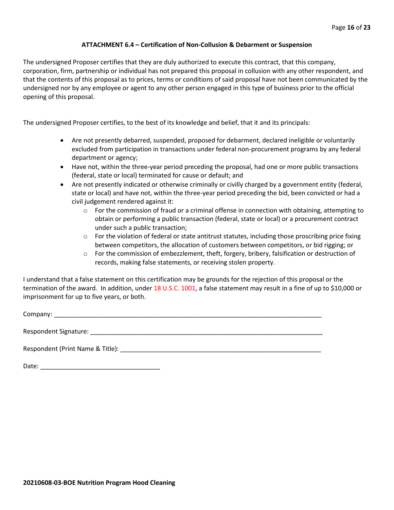#### **ATTACHMENT 6.4 – Certification of Non-Collusion & Debarment or Suspension**

The undersigned Proposer certifies that they are duly authorized to execute this contract, that this company, corporation, firm, partnership or individual has not prepared this proposal in collusion with any other respondent, and that the contents of this proposal as to prices, terms or conditions of said proposal have not been communicated by the undersigned nor by any employee or agent to any other person engaged in this type of business prior to the official opening of this proposal.

The undersigned Proposer certifies, to the best of its knowledge and belief, that it and its principals:

- Are not presently debarred, suspended, proposed for debarment, declared ineligible or voluntarily excluded from participation in transactions under federal non-procurement programs by any federal department or agency;
- Have not, within the three-year period preceding the proposal, had one or more public transactions (federal, state or local) terminated for cause or default; and
- Are not presently indicated or otherwise criminally or civilly charged by a government entity (federal, state or local) and have not, within the three-year period preceding the bid, been convicted or had a civil judgement rendered against it:
	- $\circ$  For the commission of fraud or a criminal offense in connection with obtaining, attempting to obtain or performing a public transaction (federal, state or local) or a procurement contract under such a public transaction;
	- $\circ$  For the violation of federal or state antitrust statutes, including those proscribing price fixing between competitors, the allocation of customers between competitors, or bid rigging; or
	- o For the commission of embezzlement, theft, forgery, bribery, falsification or destruction of records, making false statements, or receiving stolen property.

I understand that a false statement on this certification may be grounds for the rejection of this proposal or the termination of the award. In addition, under 18 U.S.C. 1001, a false statement may result in a fine of up to \$10,000 or imprisonment for up to five years, or both.

Company: \_\_\_\_\_\_\_\_\_\_\_\_\_\_\_\_\_\_\_\_\_\_\_\_\_\_\_\_\_\_\_\_\_\_\_\_\_\_\_\_\_\_\_\_\_\_\_\_\_\_\_\_\_\_\_\_\_\_\_\_\_\_\_\_\_\_\_\_\_\_\_\_\_\_\_\_

Respondent Signature: \_\_\_\_\_\_\_\_\_\_\_\_\_\_\_\_\_\_\_\_\_\_\_\_\_\_\_\_\_\_\_\_\_\_\_\_\_\_\_\_\_\_\_\_\_\_\_\_\_\_\_\_\_\_\_\_\_\_\_\_\_\_\_\_\_\_

Respondent (Print Name & Title): \_\_\_\_\_\_\_\_\_\_\_\_\_\_\_\_\_\_\_\_\_\_\_\_\_\_\_\_\_\_\_\_\_\_\_\_\_\_\_\_\_\_\_\_\_\_\_\_\_\_\_\_\_\_\_\_\_

Date: \_\_\_\_\_\_\_\_\_\_\_\_\_\_\_\_\_\_\_\_\_\_\_\_\_\_\_\_\_\_\_\_\_\_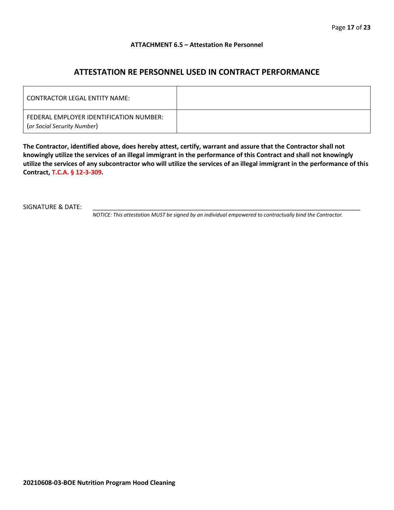#### **ATTACHMENT 6.5 – Attestation Re Personnel**

# **ATTESTATION RE PERSONNEL USED IN CONTRACT PERFORMANCE**

| CONTRACTOR LEGAL ENTITY NAME:                                          |  |
|------------------------------------------------------------------------|--|
| FEDERAL EMPLOYER IDENTIFICATION NUMBER:<br>(or Social Security Number) |  |

**The Contractor, identified above, does hereby attest, certify, warrant and assure that the Contractor shall not knowingly utilize the services of an illegal immigrant in the performance of this Contract and shall not knowingly utilize the services of any subcontractor who will utilize the services of an illegal immigrant in the performance of this Contract, T.C.A. § 12-3-309.**

SIGNATURE & DATE:

*NOTICE: This attestation MUST be signed by an individual empowered to contractually bind the Contractor.*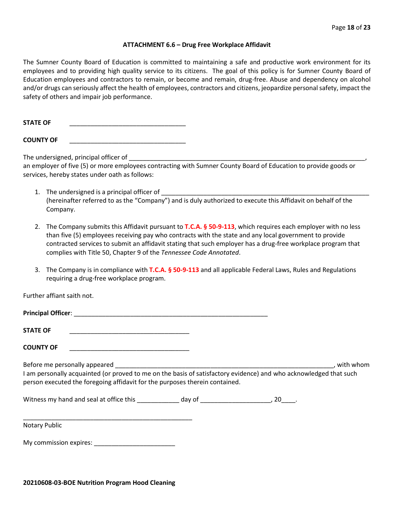#### **ATTACHMENT 6.6 – Drug Free Workplace Affidavit**

The Sumner County Board of Education is committed to maintaining a safe and productive work environment for its employees and to providing high quality service to its citizens. The goal of this policy is for Sumner County Board of Education employees and contractors to remain, or become and remain, drug-free. Abuse and dependency on alcohol and/or drugs can seriously affect the health of employees, contractors and citizens, jeopardize personal safety, impact the safety of others and impair job performance.

STATE OF

**COUNTY OF** \_\_\_\_\_\_\_\_\_\_\_\_\_\_\_\_\_\_\_\_\_\_\_\_\_\_\_\_\_\_\_\_\_

The undersigned, principal officer of

an employer of five (5) or more employees contracting with Sumner County Board of Education to provide goods or services, hereby states under oath as follows:

- 1. The undersigned is a principal officer of (hereinafter referred to as the "Company") and is duly authorized to execute this Affidavit on behalf of the Company.
- 2. The Company submits this Affidavit pursuant to **T.C.A. § 50-9-113**, which requires each employer with no less than five (5) employees receiving pay who contracts with the state and any local government to provide contracted services to submit an affidavit stating that such employer has a drug-free workplace program that complies with Title 50, Chapter 9 of the *Tennessee Code Annotated*.
- 3. The Company is in compliance with **T.C.A. § 50-9-113** and all applicable Federal Laws, Rules and Regulations requiring a drug-free workplace program.

Further affiant saith not.

| <b>Principal Officer:</b> |  |
|---------------------------|--|
|                           |  |
| <b>STATE OF</b>           |  |

**COUNTY OF** \_\_\_\_\_\_\_\_\_\_\_\_\_\_\_\_\_\_\_\_\_\_\_\_\_\_\_\_\_\_\_\_\_\_

Before me personally appeared \_\_\_\_\_\_\_\_\_\_\_\_\_\_\_\_\_\_\_\_\_\_\_\_\_\_\_\_\_\_\_\_\_\_\_\_\_\_\_\_\_\_\_\_\_\_\_\_\_\_\_\_\_\_\_\_\_\_\_\_\_\_, with whom I am personally acquainted (or proved to me on the basis of satisfactory evidence) and who acknowledged that such person executed the foregoing affidavit for the purposes therein contained.

Witness my hand and seal at office this \_\_\_\_\_\_\_\_\_\_\_\_\_ day of \_\_\_\_\_\_\_\_\_\_\_\_\_\_\_\_\_\_\_\_, 20\_\_\_\_.

\_\_\_\_\_\_\_\_\_\_\_\_\_\_\_\_\_\_\_\_\_\_\_\_\_\_\_\_\_\_\_\_\_\_\_\_\_\_\_\_\_\_\_\_\_\_\_\_ Notary Public

My commission expires: \_\_\_\_\_\_\_\_\_\_\_\_\_\_\_\_\_\_\_\_\_\_\_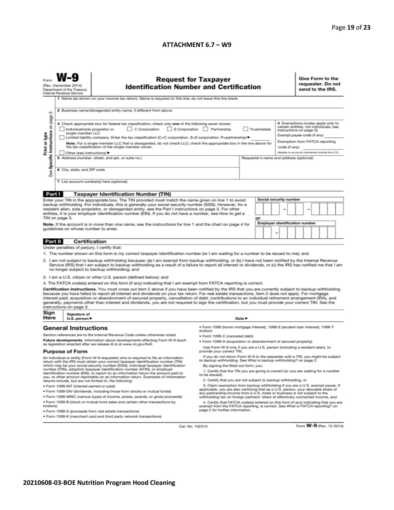#### **ATTACHMENT 6.7 – W9**

|                                                                                                                                                                                                                                                                                                                                                                                                                                                                                                                                                                                                                                                          | <b>Request for Taxpayer</b><br>(Rev. December 2014)<br><b>Identification Number and Certification</b><br>Department of the Treasury<br>Internal Revenue Service<br>1 Name (as shown on your income tax return). Name is required on this line; do not leave this line blank.                                                                                                                                                                                                                                          |                                                                                                                             |                                                                                                                                               |        |                                                                                 |  |                                                   |               | Give Form to the<br>requester. Do not<br>send to the IRS.                                                                                                               |  |  |  |  |  |  |
|----------------------------------------------------------------------------------------------------------------------------------------------------------------------------------------------------------------------------------------------------------------------------------------------------------------------------------------------------------------------------------------------------------------------------------------------------------------------------------------------------------------------------------------------------------------------------------------------------------------------------------------------------------|-----------------------------------------------------------------------------------------------------------------------------------------------------------------------------------------------------------------------------------------------------------------------------------------------------------------------------------------------------------------------------------------------------------------------------------------------------------------------------------------------------------------------|-----------------------------------------------------------------------------------------------------------------------------|-----------------------------------------------------------------------------------------------------------------------------------------------|--------|---------------------------------------------------------------------------------|--|---------------------------------------------------|---------------|-------------------------------------------------------------------------------------------------------------------------------------------------------------------------|--|--|--|--|--|--|
| N                                                                                                                                                                                                                                                                                                                                                                                                                                                                                                                                                                                                                                                        | 2 Business name/disregarded entity name, if different from above                                                                                                                                                                                                                                                                                                                                                                                                                                                      |                                                                                                                             |                                                                                                                                               |        |                                                                                 |  |                                                   |               |                                                                                                                                                                         |  |  |  |  |  |  |
| Specific Instructions on page<br>Print or type                                                                                                                                                                                                                                                                                                                                                                                                                                                                                                                                                                                                           | 3 Check appropriate box for federal tax classification; check only one of the following seven boxes:<br>C Corporation<br>S Corporation Partnership<br>Trust/estate<br>Individual/sole proprietor or<br>single-member LLC<br>Limited liability company. Enter the tax classification (C=C corporation, S=S corporation, P=partnership) ▶<br>Note. For a single-member LLC that is disregarded, do not check LLC; check the appropriate box in the line above for<br>the tax classification of the single-member owner. |                                                                                                                             |                                                                                                                                               |        |                                                                                 |  |                                                   | code (if any) | 4 Exemptions (codes apply only to<br>certain entities, not individuals; see<br>instructions on page 3):<br>Exempt payee code (if any)<br>Exemption from FATCA reporting |  |  |  |  |  |  |
|                                                                                                                                                                                                                                                                                                                                                                                                                                                                                                                                                                                                                                                          | Other (see instructions) ▶                                                                                                                                                                                                                                                                                                                                                                                                                                                                                            |                                                                                                                             |                                                                                                                                               |        |                                                                                 |  | (Applies to accounts maintained outside the U.S.) |               |                                                                                                                                                                         |  |  |  |  |  |  |
|                                                                                                                                                                                                                                                                                                                                                                                                                                                                                                                                                                                                                                                          |                                                                                                                                                                                                                                                                                                                                                                                                                                                                                                                       | 5 Address (number, street, and apt. or suite no.)<br>Requester's name and address (optional)<br>6 City, state, and ZIP code |                                                                                                                                               |        |                                                                                 |  |                                                   |               |                                                                                                                                                                         |  |  |  |  |  |  |
| See:                                                                                                                                                                                                                                                                                                                                                                                                                                                                                                                                                                                                                                                     |                                                                                                                                                                                                                                                                                                                                                                                                                                                                                                                       |                                                                                                                             |                                                                                                                                               |        |                                                                                 |  |                                                   |               |                                                                                                                                                                         |  |  |  |  |  |  |
| 7 List account number(s) here (optional)                                                                                                                                                                                                                                                                                                                                                                                                                                                                                                                                                                                                                 |                                                                                                                                                                                                                                                                                                                                                                                                                                                                                                                       |                                                                                                                             |                                                                                                                                               |        |                                                                                 |  |                                                   |               |                                                                                                                                                                         |  |  |  |  |  |  |
| Part I                                                                                                                                                                                                                                                                                                                                                                                                                                                                                                                                                                                                                                                   |                                                                                                                                                                                                                                                                                                                                                                                                                                                                                                                       | <b>Taxpayer Identification Number (TIN)</b>                                                                                 |                                                                                                                                               |        |                                                                                 |  |                                                   |               |                                                                                                                                                                         |  |  |  |  |  |  |
|                                                                                                                                                                                                                                                                                                                                                                                                                                                                                                                                                                                                                                                          |                                                                                                                                                                                                                                                                                                                                                                                                                                                                                                                       | Enter your TIN in the appropriate box. The TIN provided must match the name given on line 1 to avoid                        |                                                                                                                                               |        |                                                                                 |  | <b>Social security number</b>                     |               |                                                                                                                                                                         |  |  |  |  |  |  |
| backup withholding. For individuals, this is generally your social security number (SSN). However, for a<br>resident alien, sole proprietor, or disregarded entity, see the Part I instructions on page 3. For other<br>entities, it is your employer identification number (EIN). If you do not have a number, see How to get a<br>TIN on page 3.<br>or                                                                                                                                                                                                                                                                                                 |                                                                                                                                                                                                                                                                                                                                                                                                                                                                                                                       |                                                                                                                             |                                                                                                                                               |        |                                                                                 |  |                                                   |               |                                                                                                                                                                         |  |  |  |  |  |  |
|                                                                                                                                                                                                                                                                                                                                                                                                                                                                                                                                                                                                                                                          |                                                                                                                                                                                                                                                                                                                                                                                                                                                                                                                       | Note. If the account is in more than one name, see the instructions for line 1 and the chart on page 4 for                  |                                                                                                                                               |        |                                                                                 |  |                                                   |               | <b>Employer identification number</b>                                                                                                                                   |  |  |  |  |  |  |
|                                                                                                                                                                                                                                                                                                                                                                                                                                                                                                                                                                                                                                                          | guidelines on whose number to enter.                                                                                                                                                                                                                                                                                                                                                                                                                                                                                  |                                                                                                                             |                                                                                                                                               |        |                                                                                 |  | -                                                 |               |                                                                                                                                                                         |  |  |  |  |  |  |
| <b>Part II</b>                                                                                                                                                                                                                                                                                                                                                                                                                                                                                                                                                                                                                                           | Certification                                                                                                                                                                                                                                                                                                                                                                                                                                                                                                         |                                                                                                                             |                                                                                                                                               |        |                                                                                 |  |                                                   |               |                                                                                                                                                                         |  |  |  |  |  |  |
|                                                                                                                                                                                                                                                                                                                                                                                                                                                                                                                                                                                                                                                          | Under penalties of perjury, I certify that:                                                                                                                                                                                                                                                                                                                                                                                                                                                                           |                                                                                                                             |                                                                                                                                               |        |                                                                                 |  |                                                   |               |                                                                                                                                                                         |  |  |  |  |  |  |
| 1. The number shown on this form is my correct taxpayer identification number (or I am waiting for a number to be issued to me); and<br>2. I am not subject to backup withholding because: (a) I am exempt from backup withholding, or (b) I have not been notified by the Internal Revenue<br>Service (IRS) that I am subject to backup withholding as a result of a failure to report all interest or dividends, or (c) the IRS has notified me that I am<br>no longer subject to backup withholding; and                                                                                                                                              |                                                                                                                                                                                                                                                                                                                                                                                                                                                                                                                       |                                                                                                                             |                                                                                                                                               |        |                                                                                 |  |                                                   |               |                                                                                                                                                                         |  |  |  |  |  |  |
|                                                                                                                                                                                                                                                                                                                                                                                                                                                                                                                                                                                                                                                          |                                                                                                                                                                                                                                                                                                                                                                                                                                                                                                                       | 3. I am a U.S. citizen or other U.S. person (defined below); and                                                            |                                                                                                                                               |        |                                                                                 |  |                                                   |               |                                                                                                                                                                         |  |  |  |  |  |  |
|                                                                                                                                                                                                                                                                                                                                                                                                                                                                                                                                                                                                                                                          |                                                                                                                                                                                                                                                                                                                                                                                                                                                                                                                       | 4. The FATCA code(s) entered on this form (if any) indicating that I am exempt from FATCA reporting is correct.             |                                                                                                                                               |        |                                                                                 |  |                                                   |               |                                                                                                                                                                         |  |  |  |  |  |  |
| Certification instructions. You must cross out item 2 above if you have been notified by the IRS that you are currently subject to backup withholding<br>because you have failed to report all interest and dividends on your tax return. For real estate transactions, item 2 does not apply. For mortgage<br>interest paid, acquisition or abandonment of secured property, cancellation of debt, contributions to an individual retirement arrangement (IRA), and<br>generally, payments other than interest and dividends, you are not required to sign the certification, but you must provide your correct TIN. See the<br>instructions on page 3. |                                                                                                                                                                                                                                                                                                                                                                                                                                                                                                                       |                                                                                                                             |                                                                                                                                               |        |                                                                                 |  |                                                   |               |                                                                                                                                                                         |  |  |  |  |  |  |
| Sign<br>Here                                                                                                                                                                                                                                                                                                                                                                                                                                                                                                                                                                                                                                             | Signature of<br>U.S. person $\blacktriangleright$                                                                                                                                                                                                                                                                                                                                                                                                                                                                     |                                                                                                                             |                                                                                                                                               | Date P |                                                                                 |  |                                                   |               |                                                                                                                                                                         |  |  |  |  |  |  |
|                                                                                                                                                                                                                                                                                                                                                                                                                                                                                                                                                                                                                                                          | <b>General Instructions</b>                                                                                                                                                                                                                                                                                                                                                                                                                                                                                           | Section references are to the Internal Revenue Code unless otherwise noted.                                                 | ● Form 1098 (home mortgage interest), 1098-E (student loan interest), 1098-T<br>(tuition)                                                     |        |                                                                                 |  |                                                   |               |                                                                                                                                                                         |  |  |  |  |  |  |
|                                                                                                                                                                                                                                                                                                                                                                                                                                                                                                                                                                                                                                                          |                                                                                                                                                                                                                                                                                                                                                                                                                                                                                                                       | Future developments. Information about developments affecting Form W-9 (such                                                | · Form 1099-C (canceled debt)                                                                                                                 |        |                                                                                 |  |                                                   |               |                                                                                                                                                                         |  |  |  |  |  |  |
| as legislation enacted after we release it) is at www.irs.gov/fw9.                                                                                                                                                                                                                                                                                                                                                                                                                                                                                                                                                                                       |                                                                                                                                                                                                                                                                                                                                                                                                                                                                                                                       |                                                                                                                             | · Form 1099-A (acquisition or abandonment of secured property)<br>Use Form W-9 only if you are a U.S. person (including a resident alien), to |        |                                                                                 |  |                                                   |               |                                                                                                                                                                         |  |  |  |  |  |  |
| <b>Purpose of Form</b>                                                                                                                                                                                                                                                                                                                                                                                                                                                                                                                                                                                                                                   |                                                                                                                                                                                                                                                                                                                                                                                                                                                                                                                       |                                                                                                                             | provide your correct TIN.                                                                                                                     |        |                                                                                 |  |                                                   |               |                                                                                                                                                                         |  |  |  |  |  |  |
|                                                                                                                                                                                                                                                                                                                                                                                                                                                                                                                                                                                                                                                          | If you do not return Form W-9 to the requester with a TIN, you might be subject<br>An individual or entity (Form W-9 requester) who is required to file an inform<br>to backup withholding. See What is backup withholding? on page 2.<br>return with the IRS must obtain your correct taxpayer identification number (TIN)<br>which may be your social security number (SSN), individual taxpayer identification<br>By signing the filled-out form, you:                                                             |                                                                                                                             |                                                                                                                                               |        |                                                                                 |  |                                                   |               |                                                                                                                                                                         |  |  |  |  |  |  |
| number (ITIN), adoption taxpayer identification number (ATIN), or employer<br>1. Certify that the TIN you are giving is correct (or you are waiting for a number<br>identification number (EIN), to report on an information return the amount paid to<br>to be issued).<br>you, or other amount reportable on an information return. Examples of information<br>2. Certify that you are not subject to backup withholding, or                                                                                                                                                                                                                           |                                                                                                                                                                                                                                                                                                                                                                                                                                                                                                                       |                                                                                                                             |                                                                                                                                               |        |                                                                                 |  |                                                   |               |                                                                                                                                                                         |  |  |  |  |  |  |
| returns include, but are not limited to, the following:<br>3. Claim exemption from backup withholding if you are a U.S. exempt payee. If<br>· Form 1099-INT (interest earned or paid)                                                                                                                                                                                                                                                                                                                                                                                                                                                                    |                                                                                                                                                                                                                                                                                                                                                                                                                                                                                                                       |                                                                                                                             |                                                                                                                                               |        |                                                                                 |  |                                                   |               |                                                                                                                                                                         |  |  |  |  |  |  |
| applicable, you are also certifying that as a U.S. person, your allocable share of<br>. Form 1099-DIV (dividends, including those from stocks or mutual funds)<br>any partnership income from a U.S. trade or business is not subject to the                                                                                                                                                                                                                                                                                                                                                                                                             |                                                                                                                                                                                                                                                                                                                                                                                                                                                                                                                       |                                                                                                                             |                                                                                                                                               |        |                                                                                 |  |                                                   |               |                                                                                                                                                                         |  |  |  |  |  |  |
| . Form 1099-MISC (various types of income, prizes, awards, or gross proceeds)                                                                                                                                                                                                                                                                                                                                                                                                                                                                                                                                                                            |                                                                                                                                                                                                                                                                                                                                                                                                                                                                                                                       |                                                                                                                             |                                                                                                                                               |        | withholding tax on foreign partners' share of effectively connected income, and |  |                                                   |               |                                                                                                                                                                         |  |  |  |  |  |  |
| . Form 1099-B (stock or mutual fund sales and certain other transactions by<br>4. Certify that FATCA code(s) entered on this form (if any) indicating that you are<br>exempt from the FATCA reporting, is correct. See What is FATCA reporting? on<br>brokers)<br>page 2 for further information.<br>· Form 1099-S (proceeds from real estate transactions)                                                                                                                                                                                                                                                                                              |                                                                                                                                                                                                                                                                                                                                                                                                                                                                                                                       |                                                                                                                             |                                                                                                                                               |        |                                                                                 |  |                                                   |               |                                                                                                                                                                         |  |  |  |  |  |  |
| . Form 1099-K (merchant card and third party network transactions)                                                                                                                                                                                                                                                                                                                                                                                                                                                                                                                                                                                       |                                                                                                                                                                                                                                                                                                                                                                                                                                                                                                                       |                                                                                                                             |                                                                                                                                               |        |                                                                                 |  |                                                   |               |                                                                                                                                                                         |  |  |  |  |  |  |

Cat. No. 10231X

Form W-9 (Rev. 12-2014)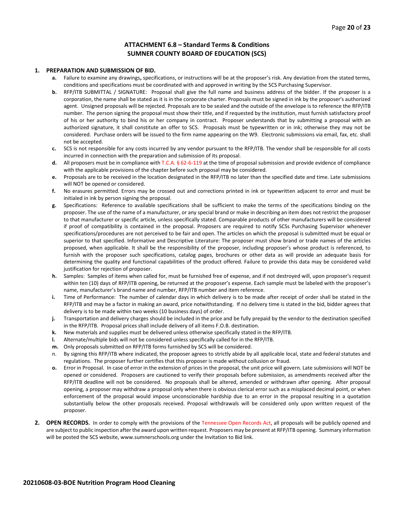#### **ATTACHMENT 6.8 – Standard Terms & Conditions SUMNER COUNTY BOARD OF EDUCATION (SCS)**

#### **1. PREPARATION AND SUBMISSION OF BID.**

- **a.** Failure to examine any drawings**,** specifications, or instructions will be at the proposer's risk. Any deviation from the stated terms, conditions and specifications must be coordinated with and approved in writing by the SCS Purchasing Supervisor.
- **b.** RFP/ITB SUBMITTAL / SIGNATURE: Proposal shall give the full name and business address of the bidder. If the proposer is a corporation, the name shall be stated as it is in the corporate charter. Proposals must be signed in ink by the proposer's authorized agent. Unsigned proposals will be rejected. Proposals are to be sealed and the outside of the envelope is to reference the RFP/ITB number. The person signing the proposal must show their title, and if requested by the institution, must furnish satisfactory proof of his or her authority to bind his or her company in contract. Proposer understands that by submitting a proposal with an authorized signature, it shall constitute an offer to SCS. Proposals must be typewritten or in ink; otherwise they may not be considered. Purchase orders will be issued to the firm name appearing on the W9. Electronic submissions via email, fax, etc. shall not be accepted.
- **c.** SCS is not responsible for any costs incurred by any vendor pursuant to the RFP/ITB. The vendor shall be responsible for all costs incurred in connection with the preparation and submission of its proposal.
- **d.** All proposers must be in compliance with T.C.A. § 62-6-119 at the time of proposal submission and provide evidence of compliance with the applicable provisions of the chapter before such proposal may be considered.
- **e.** Proposals are to be received in the location designated in the RFP/ITB no later than the specified date and time. Late submissions will NOT be opened or considered.
- **f.** No erasures permitted. Errors may be crossed out and corrections printed in ink or typewritten adjacent to error and must be initialed in ink by person signing the proposal.
- **g.** Specifications: Reference to available specifications shall be sufficient to make the terms of the specifications binding on the proposer. The use of the name of a manufacturer, or any special brand or make in describing an item does not restrict the proposer to that manufacturer or specific article, unless specifically stated. Comparable products of other manufacturers will be considered if proof of compatibility is contained in the proposal. Proposers are required to notify SCSs Purchasing Supervisor whenever specifications/procedures are not perceived to be fair and open. The articles on which the proposal is submitted must be equal or superior to that specified. Informative and Descriptive Literature: The proposer must show brand or trade names of the articles proposed, when applicable. It shall be the responsibility of the proposer, including proposer's whose product is referenced, to furnish with the proposer such specifications, catalog pages, brochures or other data as will provide an adequate basis for determining the quality and functional capabilities of the product offered. Failure to provide this data may be considered valid justification for rejection of proposer.
- **h.** Samples: Samples of items when called for, must be furnished free of expense, and if not destroyed will, upon proposer's request within ten (10) days of RFP/ITB opening, be returned at the proposer's expense. Each sample must be labeled with the proposer's name, manufacturer's brand name and number, RFP/ITB number and item reference.
- **i.** Time of Performance: The number of calendar days in which delivery is to be made after receipt of order shall be stated in the RFP/ITB and may be a factor in making an award, price notwithstanding. If no delivery time is stated in the bid, bidder agrees that delivery is to be made within two weeks (10 business days) of order.
- **j.** Transportation and delivery charges should be included in the price and be fully prepaid by the vendor to the destination specified in the RFP/ITB. Proposal prices shall include delivery of all items F.O.B. destination.
- **k.** New materials and supplies must be delivered unless otherwise specifically stated in the RFP/ITB.
- **l.** Alternate/multiple bids will not be considered unless specifically called for in the RFP/ITB.
- **m.** Only proposals submitted on RFP/ITB forms furnished by SCS will be considered.
- n. By signing this RFP/ITB where indicated, the proposer agrees to strictly abide by all applicable local, state and federal statutes and regulations. The proposer further certifies that this proposer is made without collusion or fraud.
- **o.** Error in Proposal. In case of error in the extension of prices in the proposal, the unit price will govern. Late submissions will NOT be opened or considered. Proposers are cautioned to verify their proposals before submission, as amendments received after the RFP/ITB deadline will not be considered. No proposals shall be altered, amended or withdrawn after opening. After proposal opening, a proposer may withdraw a proposal only when there is obvious clerical error such as a misplaced decimal point, or when enforcement of the proposal would impose unconscionable hardship due to an error in the proposal resulting in a quotation substantially below the other proposals received. Proposal withdrawals will be considered only upon written request of the proposer.
- **2. OPEN RECORDS.** In order to comply with the provisions of the Tennessee Open Records Act, all proposals will be publicly opened and are subject to public inspection after the award upon written request. Proposers may be present at RFP/ITB opening. Summary information will be posted the SCS website, www.sumnerschools.org under the Invitation to Bid link.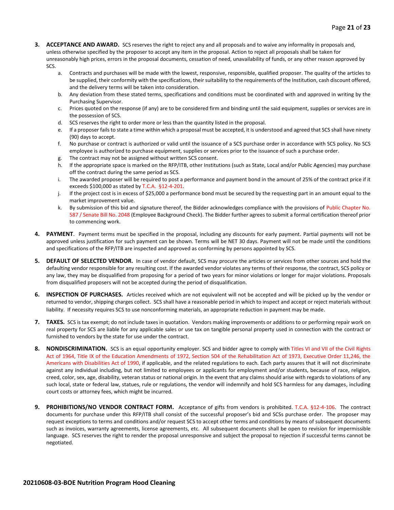- **3. ACCEPTANCE AND AWARD.** SCS reserves the right to reject any and all proposals and to waive any informality in proposals and, unless otherwise specified by the proposer to accept any item in the proposal. Action to reject all proposals shall be taken for unreasonably high prices, errors in the proposal documents, cessation of need, unavailability of funds, or any other reason approved by SCS.
	- a. Contracts and purchases will be made with the lowest, responsive, responsible, qualified proposer. The quality of the articles to be supplied, their conformity with the specifications, their suitability to the requirements of the Institution, cash discount offered, and the delivery terms will be taken into consideration.
	- b. Any deviation from these stated terms, specifications and conditions must be coordinated with and approved in writing by the Purchasing Supervisor.
	- c. Prices quoted on the response (if any) are to be considered firm and binding until the said equipment, supplies or services are in the possession of SCS.
	- d. SCS reserves the right to order more or less than the quantity listed in the proposal.
	- e. If a proposer fails to state a time within which a proposal must be accepted, it is understood and agreed that SCS shall have ninety (90) days to accept.
	- f. No purchase or contract is authorized or valid until the issuance of a SCS purchase order in accordance with SCS policy. No SCS employee is authorized to purchase equipment, supplies or services prior to the issuance of such a purchase order.
	- g. The contract may not be assigned without written SCS consent.
	- h. If the appropriate space is marked on the RFP/ITB, other Institutions (such as State, Local and/or Public Agencies) may purchase off the contract during the same period as SCS.
	- i. The awarded proposer will be required to post a performance and payment bond in the amount of 25% of the contract price if it exceeds \$100,000 as stated by T.C.A. §12-4-201.
	- j. If the project cost is in excess of \$25,000 a performance bond must be secured by the requesting part in an amount equal to the market improvement value.
	- k. By submission of this bid and signature thereof, the Bidder acknowledges compliance with the provisions of Public Chapter No. 587 / Senate Bill No. 2048 (Employee Background Check). The Bidder further agrees to submit a formal certification thereof prior to commencing work.
- **4. PAYMENT**. Payment terms must be specified in the proposal, including any discounts for early payment. Partial payments will not be approved unless justification for such payment can be shown. Terms will be NET 30 days. Payment will not be made until the conditions and specifications of the RFP/ITB are inspected and approved as conforming by persons appointed by SCS.
- **5. DEFAULT OF SELECTED VENDOR.** In case of vendor default, SCS may procure the articles or services from other sources and hold the defaulting vendor responsible for any resulting cost. If the awarded vendor violates any terms of their response, the contract, SCS policy or any law, they may be disqualified from proposing for a period of two years for minor violations or longer for major violations. Proposals from disqualified proposers will not be accepted during the period of disqualification.
- **6. INSPECTION OF PURCHASES.** Articles received which are not equivalent will not be accepted and will be picked up by the vendor or returned to vendor, shipping charges collect. SCS shall have a reasonable period in which to inspect and accept or reject materials without liability. If necessity requires SCS to use nonconforming materials, an appropriate reduction in payment may be made.
- **7. TAXES.** SCS is tax exempt; do not include taxes in quotation. Vendors making improvements or additions to or performing repair work on real property for SCS are liable for any applicable sales or use tax on tangible personal property used in connection with the contract or furnished to vendors by the state for use under the contract.
- **8. NONDISCRIMINATION.** SCS is an equal opportunity employer. SCS and bidder agree to comply with Titles VI and VII of the Civil Rights Act of 1964, Title IX of the Education Amendments of 1972, Section 504 of the Rehabilitation Act of 1973, Executive Order 11,246, the Americans with Disabilities Act of 1990, if applicable, and the related regulations to each. Each party assures that it will not discriminate against any individual including, but not limited to employees or applicants for employment and/or students, because of race, religion, creed, color, sex, age, disability, veteran status or national origin. In the event that any claims should arise with regards to violations of any such local, state or federal law, statues, rule or regulations, the vendor will indemnify and hold SCS harmless for any damages, including court costs or attorney fees, which might be incurred.
- **9. PROHIBITIONS/NO VENDOR CONTRACT FORM.** Acceptance of gifts from vendors is prohibited. T.C.A. §12-4-106. The contract documents for purchase under this RFP/ITB shall consist of the successful proposer's bid and SCSs purchase order. The proposer may request exceptions to terms and conditions and/or request SCS to accept other terms and conditions by means of subsequent documents such as invoices, warranty agreements, license agreements, etc. All subsequent documents shall be open to revision for impermissible language. SCS reserves the right to render the proposal unresponsive and subject the proposal to rejection if successful terms cannot be negotiated.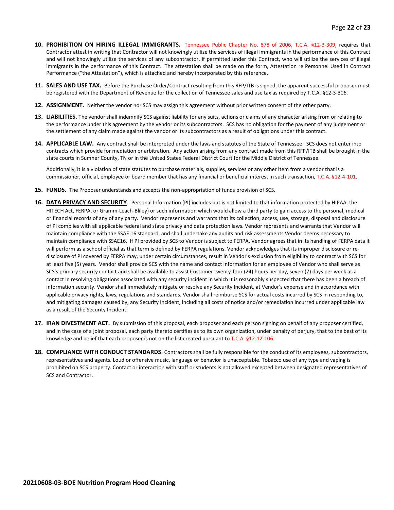- **10. PROHIBITION ON HIRING ILLEGAL IMMIGRANTS.** Tennessee Public Chapter No. 878 of 2006, T.C.A. §12-3-309, requires that Contractor attest in writing that Contractor will not knowingly utilize the services of illegal immigrants in the performance of this Contract and will not knowingly utilize the services of any subcontractor, if permitted under this Contract, who will utilize the services of illegal immigrants in the performance of this Contract. The attestation shall be made on the form, Attestation re Personnel Used in Contract Performance ("the Attestation"), which is attached and hereby incorporated by this reference.
- **11. SALES AND USE TAX.** Before the Purchase Order/Contract resulting from this RFP/ITB is signed, the apparent successful proposer must be registered with the Department of Revenue for the collection of Tennessee sales and use tax as required by T.C.A. §12-3-306.
- **12. ASSIGNMENT.** Neither the vendor nor SCS may assign this agreement without prior written consent of the other party.
- **13. LIABILITIES.** The vendor shall indemnify SCS against liability for any suits, actions or claims of any character arising from or relating to the performance under this agreement by the vendor or its subcontractors. SCS has no obligation for the payment of any judgement or the settlement of any claim made against the vendor or its subcontractors as a result of obligations under this contract.
- **14. APPLICABLE LAW.** Any contract shall be interpreted under the laws and statutes of the State of Tennessee. SCS does not enter into contracts which provide for mediation or arbitration. Any action arising from any contract made from this RFP/ITB shall be brought in the state courts in Sumner County, TN or in the United States Federal District Court for the Middle District of Tennessee.

Additionally, it is a violation of state statutes to purchase materials, supplies, services or any other item from a vendor that is a commissioner, official, employee or board member that has any financial or beneficial interest in such transaction, T.C.A. §12-4-101.

- **15. FUNDS**. The Proposer understands and accepts the non-appropriation of funds provision of SCS.
- **16. DATA PRIVACY AND SECURITY**. Personal Information (PI) includes but is not limited to that information protected by HIPAA, the HITECH Act, FERPA, or Gramm-Leach-Bliley) or such information which would allow a third party to gain access to the personal, medical or financial records of any of any party. Vendor represents and warrants that its collection, access, use, storage, disposal and disclosure of PI complies with all applicable federal and state privacy and data protection laws. Vendor represents and warrants that Vendor will maintain compliance with the SSAE 16 standard, and shall undertake any audits and risk assessments Vendor deems necessary to maintain compliance with SSAE16. If PI provided by SCS to Vendor is subject to FERPA. Vendor agrees that in its handling of FERPA data it will perform as a school official as that term is defined by FERPA regulations. Vendor acknowledges that its improper disclosure or redisclosure of PI covered by FERPA may, under certain circumstances, result in Vendor's exclusion from eligibility to contract with SCS for at least five (5) years. Vendor shall provide SCS with the name and contact information for an employee of Vendor who shall serve as SCS's primary security contact and shall be available to assist Customer twenty-four (24) hours per day, seven (7) days per week as a contact in resolving obligations associated with any security incident in which it is reasonably suspected that there has been a breach of information security. Vendor shall immediately mitigate or resolve any Security Incident, at Vendor's expense and in accordance with applicable privacy rights, laws, regulations and standards. Vendor shall reimburse SCS for actual costs incurred by SCS in responding to, and mitigating damages caused by, any Security Incident, including all costs of notice and/or remediation incurred under applicable law as a result of the Security Incident.
- **17. IRAN DIVESTMENT ACT.** By submission of this proposal, each proposer and each person signing on behalf of any proposer certified, and in the case of a joint proposal, each party thereto certifies as to its own organization, under penalty of perjury, that to the best of its knowledge and belief that each proposer is not on the list created pursuant to T.C.A. §12-12-106.
- **18. COMPLIANCE WITH CONDUCT STANDARDS**. Contractors shall be fully responsible for the conduct of its employees, subcontractors, representatives and agents. Loud or offensive music, language or behavior is unacceptable. Tobacco use of any type and vaping is prohibited on SCS property. Contact or interaction with staff or students is not allowed excepted between designated representatives of SCS and Contractor.